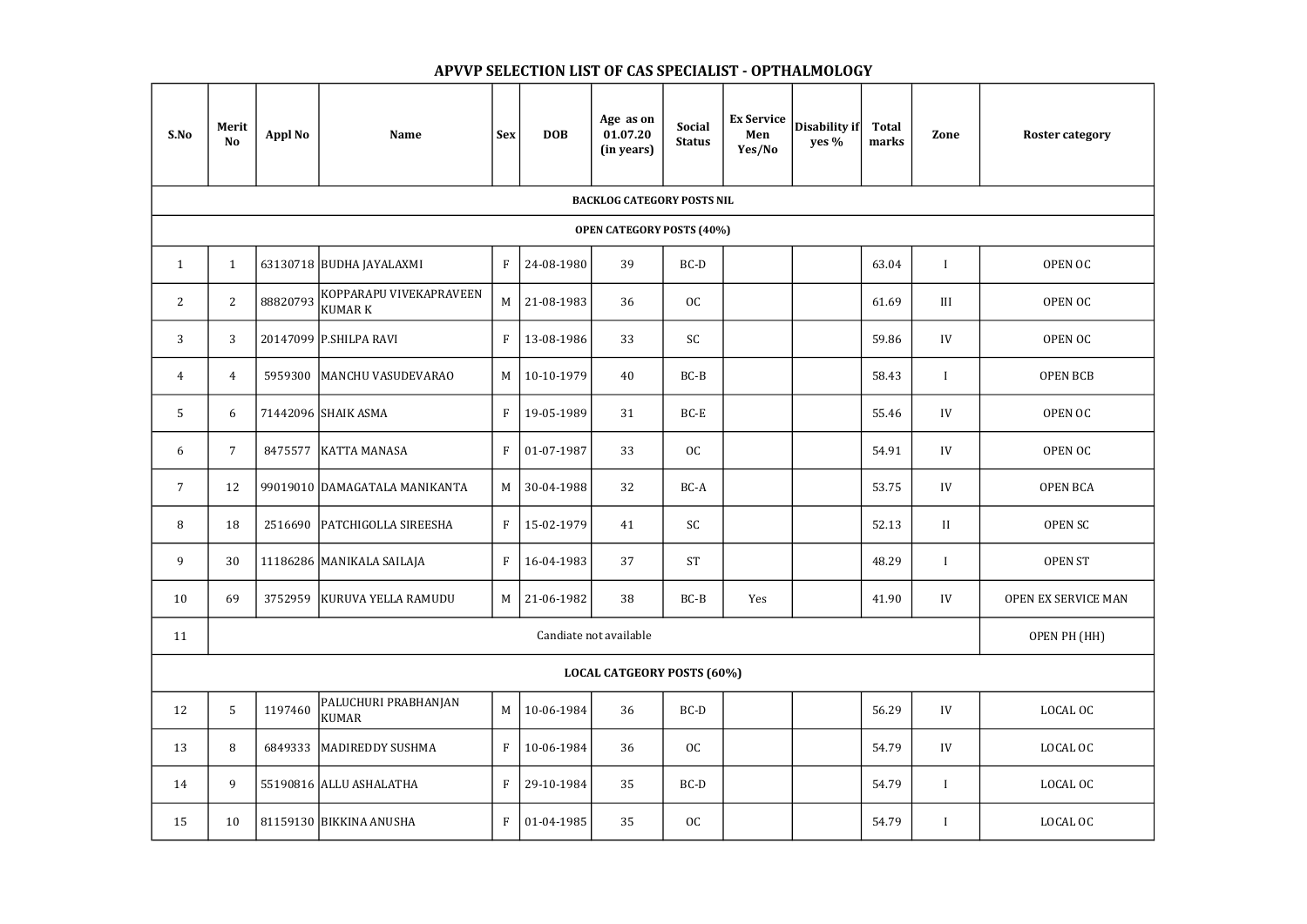| S.No                              | Merit<br><b>No</b>     | <b>Appl No</b> | <b>Name</b>                              | <b>Sex</b>   | <b>DOB</b> | Age as on<br>01.07.20<br>(in years) | <b>Social</b><br><b>Status</b> | <b>Ex Service</b><br>Men<br>Yes/No | Disability if<br>yes % | <b>Total</b><br>marks | Zone         | <b>Roster category</b>     |
|-----------------------------------|------------------------|----------------|------------------------------------------|--------------|------------|-------------------------------------|--------------------------------|------------------------------------|------------------------|-----------------------|--------------|----------------------------|
| <b>BACKLOG CATEGORY POSTS NIL</b> |                        |                |                                          |              |            |                                     |                                |                                    |                        |                       |              |                            |
| <b>OPEN CATEGORY POSTS (40%)</b>  |                        |                |                                          |              |            |                                     |                                |                                    |                        |                       |              |                            |
| $\mathbf{1}$                      | $\mathbf{1}$           |                | 63130718 BUDHA JAYALAXMI                 | $\mathbf{F}$ | 24-08-1980 | 39                                  | $BC-D$                         |                                    |                        | 63.04                 | $\mathbf I$  | OPEN OC                    |
| $\mathbf{2}$                      | $\overline{2}$         | 88820793       | KOPPARAPU VIVEKAPRAVEEN<br><b>KUMARK</b> | M            | 21-08-1983 | 36                                  | OC                             |                                    |                        | 61.69                 | III          | OPEN OC                    |
| 3                                 | 3                      |                | 20147099 P.SHILPA RAVI                   | $\mathbf F$  | 13-08-1986 | 33                                  | SC                             |                                    |                        | 59.86                 | IV           | OPEN OC                    |
| $\overline{4}$                    | $\overline{4}$         | 5959300        | MANCHU VASUDEVARAO                       | $M_{\odot}$  | 10-10-1979 | 40                                  | $BC-B$                         |                                    |                        | 58.43                 |              | <b>OPEN BCB</b>            |
| 5                                 | 6                      |                | 71442096 SHAIK ASMA                      | $\mathbf{F}$ | 19-05-1989 | 31                                  | BC-E                           |                                    |                        | 55.46                 | IV           | OPEN OC                    |
| 6                                 | $\overline{7}$         | 8475577        | <b>KATTA MANASA</b>                      | $\mathbf{F}$ | 01-07-1987 | 33                                  | OC                             |                                    |                        | 54.91                 | IV           | OPEN OC                    |
| $\overline{7}$                    | 12                     |                | 99019010 DAMAGATALA MANIKANTA            | M            | 30-04-1988 | 32                                  | BC-A                           |                                    |                        | 53.75                 | IV           | <b>OPEN BCA</b>            |
| 8                                 | 18                     | 2516690        | <b>PATCHIGOLLA SIREESHA</b>              | $\mathbf{F}$ | 15-02-1979 | 41                                  | SC                             |                                    |                        | 52.13                 | II           | <b>OPEN SC</b>             |
| 9                                 | 30                     |                | 11186286 MANIKALA SAILAJA                | $\mathbf{F}$ | 16-04-1983 | 37                                  | <b>ST</b>                      |                                    |                        | 48.29                 |              | <b>OPEN ST</b>             |
| 10                                | 69                     | 3752959        | KURUVA YELLA RAMUDU                      | M            | 21-06-1982 | 38                                  | $BC-B$                         | Yes                                |                        | 41.90                 | IV           | <b>OPEN EX SERVICE MAN</b> |
| 11                                | Candiate not available |                |                                          |              |            |                                     |                                |                                    |                        |                       | OPEN PH (HH) |                            |
| <b>LOCAL CATGEORY POSTS (60%)</b> |                        |                |                                          |              |            |                                     |                                |                                    |                        |                       |              |                            |
| 12                                | 5                      | 1197460        | PALUCHURI PRABHANJAN<br><b>KUMAR</b>     | M            | 10-06-1984 | 36                                  | $BC-D$                         |                                    |                        | 56.29                 | IV           | LOCAL OC                   |
| 13                                | 8                      | 6849333        | MADIREDDY SUSHMA                         | $\mathbf{F}$ | 10-06-1984 | 36                                  | OC                             |                                    |                        | 54.79                 | IV           | LOCAL OC                   |
| 14                                | 9                      |                | 55190816 ALLU ASHALATHA                  | $\mathbf{F}$ | 29-10-1984 | 35                                  | $BC-D$                         |                                    |                        | 54.79                 | $\mathbf{I}$ | LOCAL OC                   |
| 15                                | 10                     |                | 81159130 BIKKINA ANUSHA                  | $F_{\perp}$  | 01-04-1985 | 35                                  | OC                             |                                    |                        | 54.79                 | $\mathbf{I}$ | LOCAL OC                   |

## APVVP SELECTION LIST OF CAS SPECIALIST - OPTHALMOLOGY

| <b>Roster category</b> |  |  |  |  |  |  |  |  |
|------------------------|--|--|--|--|--|--|--|--|
|                        |  |  |  |  |  |  |  |  |
|                        |  |  |  |  |  |  |  |  |
| OPEN OC                |  |  |  |  |  |  |  |  |
| <b>OPEN OC</b>         |  |  |  |  |  |  |  |  |
| <b>OPEN OC</b>         |  |  |  |  |  |  |  |  |
| <b>OPEN BCB</b>        |  |  |  |  |  |  |  |  |
| OPEN OC                |  |  |  |  |  |  |  |  |
| OPEN OC                |  |  |  |  |  |  |  |  |
| <b>OPEN BCA</b>        |  |  |  |  |  |  |  |  |
| <b>OPEN SC</b>         |  |  |  |  |  |  |  |  |
| <b>OPEN ST</b>         |  |  |  |  |  |  |  |  |
| OPEN EX SERVICE MAN    |  |  |  |  |  |  |  |  |
| OPEN PH (HH)           |  |  |  |  |  |  |  |  |
|                        |  |  |  |  |  |  |  |  |
| LOCAL OC               |  |  |  |  |  |  |  |  |
| LOCAL OC               |  |  |  |  |  |  |  |  |
|                        |  |  |  |  |  |  |  |  |